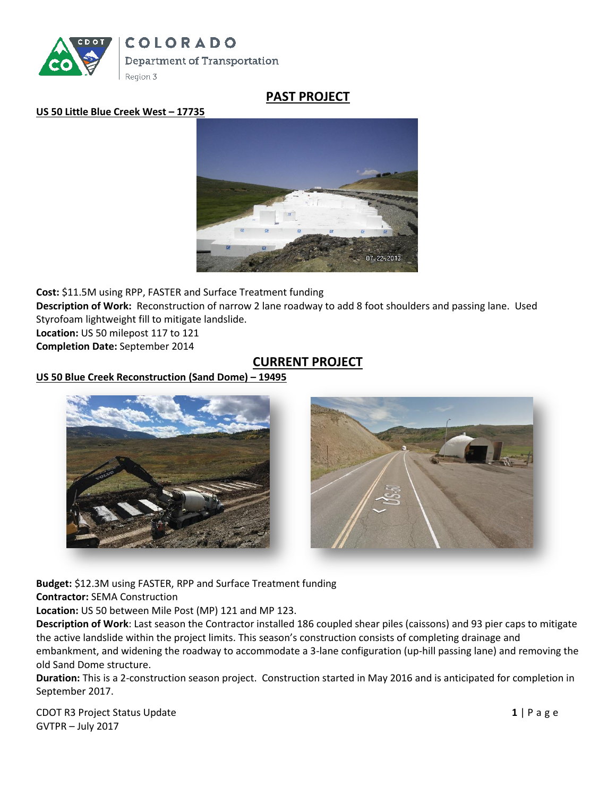

# **PAST PROJECT**

#### **US 50 Little Blue Creek West – 17735**



**Cost:** \$11.5M using RPP, FASTER and Surface Treatment funding **Description of Work:** Reconstruction of narrow 2 lane roadway to add 8 foot shoulders and passing lane. Used Styrofoam lightweight fill to mitigate landslide. **Location:** US 50 milepost 117 to 121

**Completion Date:** September 2014

### **CURRENT PROJECT**

### **US 50 Blue Creek Reconstruction (Sand Dome) – 19495**





**Budget:** \$12.3M using FASTER, RPP and Surface Treatment funding **Contractor:** SEMA Construction

**Location:** US 50 between Mile Post (MP) 121 and MP 123.

**Description of Work**: Last season the Contractor installed 186 coupled shear piles (caissons) and 93 pier caps to mitigate the active landslide within the project limits. This season's construction consists of completing drainage and embankment, and widening the roadway to accommodate a 3-lane configuration (up-hill passing lane) and removing the old Sand Dome structure.

**Duration:** This is a 2-construction season project. Construction started in May 2016 and is anticipated for completion in September 2017.

CDOT R3 Project Status Update **1** | P a g e GVTPR – July 2017